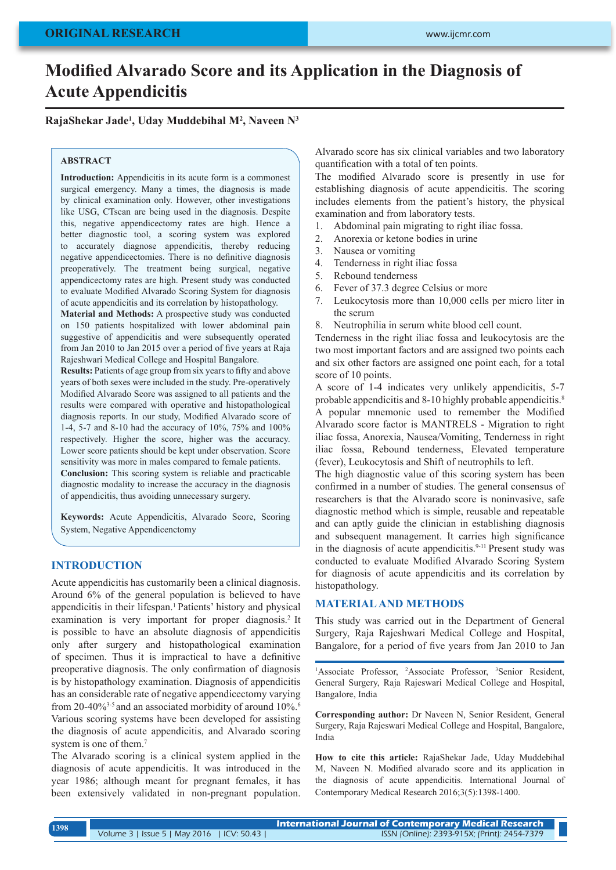# **Modified Alvarado Score and its Application in the Diagnosis of Acute Appendicitis**

# **RajaShekar Jade<sup>1</sup> , Uday Muddebihal M<sup>2</sup> , Naveen N<sup>3</sup>**

#### **ABSTRACT**

**Introduction:** Appendicitis in its acute form is a commonest surgical emergency. Many a times, the diagnosis is made by clinical examination only. However, other investigations like USG, CTscan are being used in the diagnosis. Despite this, negative appendicectomy rates are high. Hence a better diagnostic tool, a scoring system was explored to accurately diagnose appendicitis, thereby reducing negative appendicectomies. There is no definitive diagnosis preoperatively. The treatment being surgical, negative appendicectomy rates are high. Present study was conducted to evaluate Modified Alvarado Scoring System for diagnosis of acute appendicitis and its correlation by histopathology.

**Material and Methods:** A prospective study was conducted on 150 patients hospitalized with lower abdominal pain suggestive of appendicitis and were subsequently operated from Jan 2010 to Jan 2015 over a period of five years at Raja Rajeshwari Medical College and Hospital Bangalore.

**Results:** Patients of age group from six years to fifty and above years of both sexes were included in the study. Pre-operatively Modified Alvarado Score was assigned to all patients and the results were compared with operative and histopathological diagnosis reports. In our study, Modified Alvarado score of 1-4, 5-7 and 8-10 had the accuracy of 10%, 75% and 100% respectively. Higher the score, higher was the accuracy. Lower score patients should be kept under observation. Score sensitivity was more in males compared to female patients. **Conclusion:** This scoring system is reliable and practicable diagnostic modality to increase the accuracy in the diagnosis of appendicitis, thus avoiding unnecessary surgery.

**Keywords:** Acute Appendicitis, Alvarado Score, Scoring System, Negative Appendicenctomy

## **INTRODUCTION**

Acute appendicitis has customarily been a clinical diagnosis. Around 6% of the general population is believed to have appendicitis in their lifespan.1 Patients' history and physical examination is very important for proper diagnosis.<sup>2</sup> It is possible to have an absolute diagnosis of appendicitis only after surgery and histopathological examination of specimen. Thus it is impractical to have a definitive preoperative diagnosis. The only confirmation of diagnosis is by histopathology examination. Diagnosis of appendicitis has an considerable rate of negative appendicectomy varying from 20-40%<sup>3-5</sup> and an associated morbidity of around  $10\%$ .<sup>6</sup> Various scoring systems have been developed for assisting the diagnosis of acute appendicitis, and Alvarado scoring system is one of them.<sup>7</sup>

The Alvarado scoring is a clinical system applied in the diagnosis of acute appendicitis. It was introduced in the year 1986; although meant for pregnant females, it has been extensively validated in non-pregnant population.

Alvarado score has six clinical variables and two laboratory quantification with a total of ten points.

The modified Alvarado score is presently in use for establishing diagnosis of acute appendicitis. The scoring includes elements from the patient's history, the physical examination and from laboratory tests.

- 1. Abdominal pain migrating to right iliac fossa.
- 2. Anorexia or ketone bodies in urine
- 3. Nausea or vomiting
- 4. Tenderness in right iliac fossa
- 5. Rebound tenderness
- 6. Fever of 37.3 degree Celsius or more
- 7. Leukocytosis more than 10,000 cells per micro liter in the serum
- 8. Neutrophilia in serum white blood cell count.

Tenderness in the right iliac fossa and leukocytosis are the two most important factors and are assigned two points each and six other factors are assigned one point each, for a total score of 10 points.

A score of 1-4 indicates very unlikely appendicitis, 5-7 probable appendicitis and 8-10 highly probable appendicitis.<sup>8</sup> A popular mnemonic used to remember the Modified Alvarado score factor is MANTRELS - Migration to right iliac fossa, Anorexia, Nausea/Vomiting, Tenderness in right iliac fossa, Rebound tenderness, Elevated temperature (fever), Leukocytosis and Shift of neutrophils to left.

The high diagnostic value of this scoring system has been confirmed in a number of studies. The general consensus of researchers is that the Alvarado score is noninvasive, safe diagnostic method which is simple, reusable and repeatable and can aptly guide the clinician in establishing diagnosis and subsequent management. It carries high significance in the diagnosis of acute appendicitis.<sup>9-11</sup> Present study was conducted to evaluate Modified Alvarado Scoring System for diagnosis of acute appendicitis and its correlation by histopathology.

#### **MATERIAL AND METHODS**

This study was carried out in the Department of General Surgery, Raja Rajeshwari Medical College and Hospital, Bangalore, for a period of five years from Jan 2010 to Jan

<sup>1</sup>Associate Professor, <sup>2</sup>Associate Professor, <sup>3</sup>Senior Resident, General Surgery, Raja Rajeswari Medical College and Hospital, Bangalore, India

**Corresponding author:** Dr Naveen N, Senior Resident, General Surgery, Raja Rajeswari Medical College and Hospital, Bangalore, India

**How to cite this article:** RajaShekar Jade, Uday Muddebihal M, Naveen N. Modified alvarado score and its application in the diagnosis of acute appendicitis. International Journal of Contemporary Medical Research 2016;3(5):1398-1400.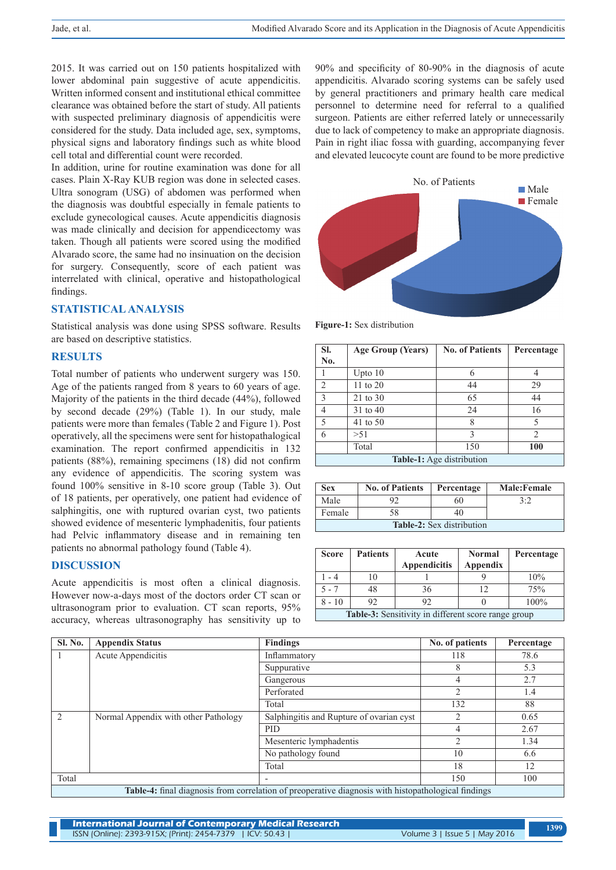2015. It was carried out on 150 patients hospitalized with lower abdominal pain suggestive of acute appendicitis. Written informed consent and institutional ethical committee clearance was obtained before the start of study. All patients with suspected preliminary diagnosis of appendicitis were considered for the study. Data included age, sex, symptoms, physical signs and laboratory findings such as white blood cell total and differential count were recorded.

In addition, urine for routine examination was done for all cases. Plain X-Ray KUB region was done in selected cases. Ultra sonogram (USG) of abdomen was performed when the diagnosis was doubtful especially in female patients to exclude gynecological causes. Acute appendicitis diagnosis was made clinically and decision for appendicectomy was taken. Though all patients were scored using the modified Alvarado score, the same had no insinuation on the decision for surgery. Consequently, score of each patient was interrelated with clinical, operative and histopathological findings.

#### **STATISTICAL ANALYSIS**

Statistical analysis was done using SPSS software. Results are based on descriptive statistics.

#### **RESULTS**

Total number of patients who underwent surgery was 150. Age of the patients ranged from 8 years to 60 years of age. Majority of the patients in the third decade (44%), followed by second decade (29%) (Table 1). In our study, male patients were more than females (Table 2 and Figure 1). Post operatively, all the specimens were sent for histopathalogical examination. The report confirmed appendicitis in 132 patients (88%), remaining specimens (18) did not confirm any evidence of appendicitis. The scoring system was found 100% sensitive in 8-10 score group (Table 3). Out of 18 patients, per operatively, one patient had evidence of salphingitis, one with ruptured ovarian cyst, two patients showed evidence of mesenteric lymphadenitis, four patients had Pelvic inflammatory disease and in remaining ten patients no abnormal pathology found (Table 4).

## **DISCUSSION**

Acute appendicitis is most often a clinical diagnosis. However now-a-days most of the doctors order CT scan or ultrasonogram prior to evaluation. CT scan reports, 95% accuracy, whereas ultrasonography has sensitivity up to 90% and specificity of 80-90% in the diagnosis of acute appendicitis. Alvarado scoring systems can be safely used by general practitioners and primary health care medical personnel to determine need for referral to a qualified surgeon. Patients are either referred lately or unnecessarily due to lack of competency to make an appropriate diagnosis. Pain in right iliac fossa with guarding, accompanying fever and elevated leucocyte count are found to be more predictive



**Figure-1:** Sex distribution

| SI.                              | <b>Age Group (Years)</b> | <b>No. of Patients</b> | Percentage |  |
|----------------------------------|--------------------------|------------------------|------------|--|
| No.                              |                          |                        |            |  |
|                                  | Upto $10$                |                        |            |  |
| $\overline{2}$                   | 11 to $20$               | 44                     | 29         |  |
| 3                                | 21 to 30                 | 65                     | 44         |  |
| 4                                | 31 to 40                 | 24                     | 16         |  |
| 5                                | 41 to 50                 |                        | 5          |  |
| 6                                | > 51                     | 3                      | 2          |  |
|                                  | Total                    | 150                    | 100        |  |
| <b>Table-1:</b> Age distribution |                          |                        |            |  |

| <b>Sex</b>                       | <b>No. of Patients</b> | Percentage | <b>Male:Female</b> |  |  |
|----------------------------------|------------------------|------------|--------------------|--|--|
| Male                             |                        | 60         | 3.2                |  |  |
| Female                           | 58                     |            |                    |  |  |
| <b>Table-2:</b> Sex distribution |                        |            |                    |  |  |

| <b>Score</b>                                        | <b>Patients</b> | Acute<br><b>Appendicitis</b> | <b>Normal</b><br>Appendix | Percentage |
|-----------------------------------------------------|-----------------|------------------------------|---------------------------|------------|
| - 4                                                 |                 |                              |                           | 10%        |
| $5 - 7$                                             | 48              | 36                           | 12                        | 75%        |
| $8 - 10$                                            | 92              | 92                           |                           | 100%       |
| Table-3: Sensitivity in different score range group |                 |                              |                           |            |

| Sl. No.                                                                                                    | <b>Appendix Status</b>               | <b>Findings</b>                          | No. of patients | Percentage |  |
|------------------------------------------------------------------------------------------------------------|--------------------------------------|------------------------------------------|-----------------|------------|--|
|                                                                                                            | Acute Appendicitis                   | Inflammatory                             | 118             | 78.6       |  |
|                                                                                                            |                                      | Suppurative                              | 8               | 5.3        |  |
|                                                                                                            |                                      | Gangerous                                | 4               | 2.7        |  |
|                                                                                                            |                                      | Perforated                               | $\overline{c}$  | 1.4        |  |
|                                                                                                            |                                      | Total                                    | 132             | 88         |  |
| $\mathcal{L}$                                                                                              | Normal Appendix with other Pathology | Salphingitis and Rupture of ovarian cyst | 2               | 0.65       |  |
|                                                                                                            |                                      | <b>PID</b>                               | 4               | 2.67       |  |
|                                                                                                            |                                      | Mesenteric lymphadentis                  |                 | 1.34       |  |
|                                                                                                            |                                      | No pathology found                       | 10              | 6.6        |  |
|                                                                                                            |                                      | Total                                    | 18              | 12         |  |
| Total                                                                                                      |                                      |                                          | 150             | 100        |  |
| <b>Table-4:</b> final diagnosis from correlation of preoperative diagnosis with histopathological findings |                                      |                                          |                 |            |  |